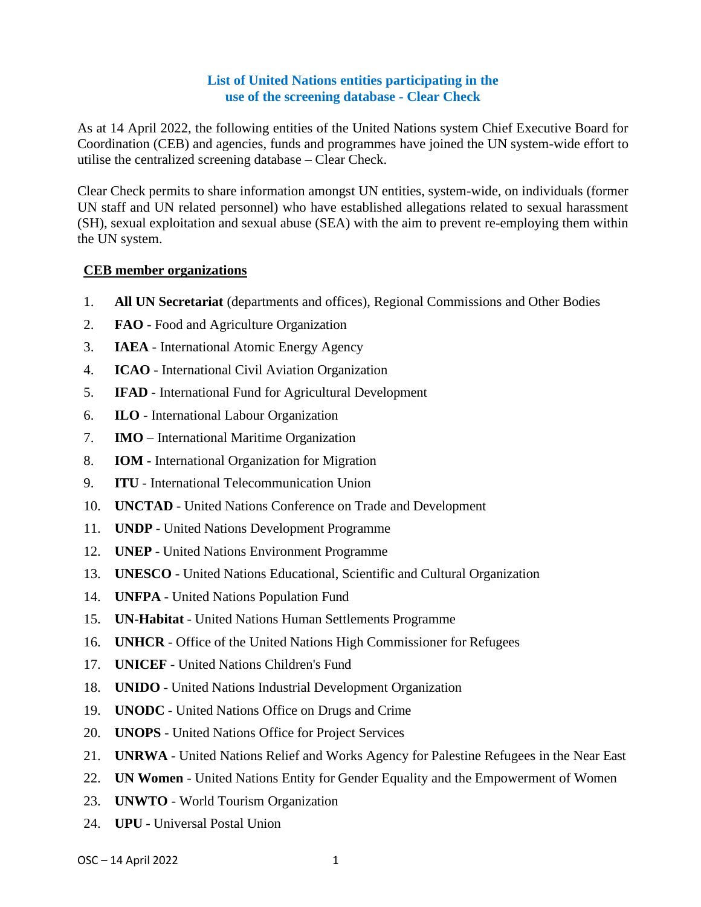## **List of United Nations entities participating in the use of the screening database - Clear Check**

As at 14 April 2022, the following entities of the United Nations system Chief Executive Board for Coordination (CEB) and agencies, funds and programmes have joined the UN system-wide effort to utilise the centralized screening database – Clear Check.

Clear Check permits to share information amongst UN entities, system-wide, on individuals (former UN staff and UN related personnel) who have established allegations related to sexual harassment (SH), sexual exploitation and sexual abuse (SEA) with the aim to prevent re-employing them within the UN system.

## **CEB member organizations**

- 1. **All UN Secretariat** (departments and offices), Regional Commissions and Other Bodies
- 2. **FAO** Food and Agriculture [Organization](https://www.unsystem.org/content/fao)
- 3. **IAEA** International Atomic Energy Agency
- 4. **ICAO** International Civil Aviation [Organization](https://www.unsystem.org/content/ifad)
- 5. **IFAD** International Fund for Agricultural Development
- 6. **ILO**  International Labour Organization
- 7. **IMO**  International Maritime Organization
- 8. **IOM -** International [Organization](https://www.unsystem.org/content/iom) for Migration
- 9. **ITU** International Telecommunication Union
- 10. **UNCTAD** United Nations Conference on Trade and Development
- 11. **UNDP** United Nations Development Programme
- 12. **UNEP** United Nations Environment Programme
- 13. **UNESCO** United Nations Educational, Scientific and Cultural Organization
- 14. **UNFPA** United Nations Population Fund
- 15. **UN-Habitat** United Nations Human Settlements Programme
- 16. **UNHCR** Office of the United Nations High Commissioner for Refugees
- 17. **UNICEF** United Nations Children's Fund
- 18. **UNIDO** United Nations Industrial Development Organization
- 19. **UNODC** United Nations Office on Drugs and Crime
- 20. **UNOPS** United Nations Office for Project Services
- 21. **UNRWA** United Nations Relief and Works Agency for Palestine Refugees in the Near East
- 22. **UN Women**  United Nations Entity for Gender Equality and the Empowerment of Women
- 23. **UNWTO**  World Tourism Organization
- 24. **UPU** Universal Postal Union
- OSC 14 April 2022 1